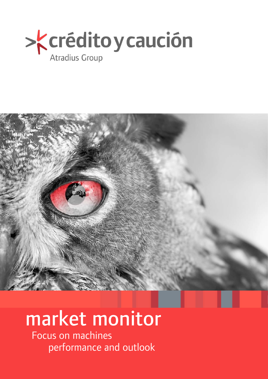



# market monitor

Focus on machines performance and outlook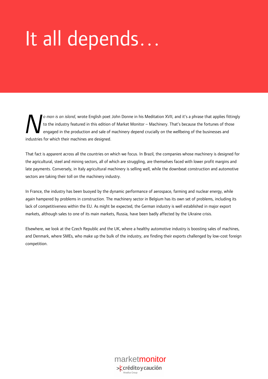# It all depends…

*o man is an island*, wrote English poet John Donne in his Meditation XVII, and it's a phrase that applies fittingly to the industry featured in this edition of Market Monitor – Machinery. That's because the fortunes of those engaged in the production and sale of machinery depend crucially on the wellbeing of the businesses and industries for which their machines are designed. *N*

That fact is apparent across all the countries on which we focus. In Brazil, the companies whose machinery is designed for the agricultural, steel and mining sectors, all of which are struggling, are themselves faced with lower profit margins and late payments. Conversely, in Italy agricultural machinery is selling well, while the downbeat construction and automotive sectors are taking their toll on the machinery industry.

In France, the industry has been buoyed by the dynamic performance of aerospace, farming and nuclear energy, while again hampered by problems in construction. The machinery sector in Belgium has its own set of problems, including its lack of competitiveness within the EU. As might be expected, the German industry is well established in major export markets, although sales to one of its main markets, Russia, have been badly affected by the Ukraine crisis.

Elsewhere, we look at the Czech Republic and the UK, where a healthy automotive industry is boosting sales of machines, and Denmark, where SMEs, who make up the bulk of the industry, are finding their exports challenged by low-cost foreign competition.

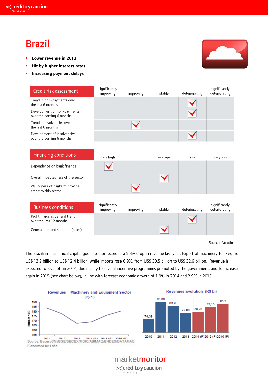### Brazil

- **Lower revenue in 2013**
- **Hit by higher interest rates**
- **Increasing payment delays**



Source: Atradius

The Brazilian mechanical capital goods sector recorded a 5.8% drop in revenue last year. Export of machinery fell 7%, from US\$ 13.2 billion to US\$ 12.4 billion, while imports rose 6.9%, from US\$ 30.5 billion to US\$ 32.6 billion. Revenue is expected to level off in 2014, due mainly to several incentive programmes promoted by the government, and to increase again in 2015 (see chart below), in line with forecast economic growth of 1.9% in 2014 and 2.9% in 2015.





### marketmonitor> crédito y caución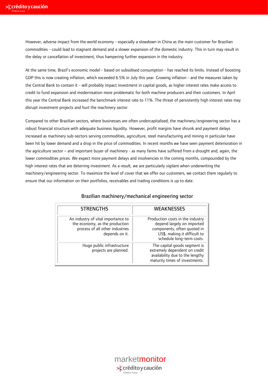However, adverse impact from the world economy - especially a slowdown in China as the main customer for Brazilian commodities - could lead to stagnant demand and a slower expansion of the domestic industry. This in turn may result in the delay or cancellation of investment, thus hampering further expansion in the industry.

At the same time, Brazil's economic model - based on subsidised consumption - has reached its limits. Instead of boosting GDP this is now creating inflation, which exceeded 6.5% in July this year. Growing inflation - and the measures taken by the Central Bank to contain it - will probably impact investment in capital goods, as higher interest rates make access to credit to fund expansion and modernisation more problematic for both machine producers and their customers. In April this year the Central Bank increased the benchmark interest rate to 11%. The threat of persistently high interest rates may disrupt investment projects and hurt the machinery sector.

Compared to other Brazilian sectors, where businesses are often undercapitalised, the machinery/engineering sector has a robust financial structure with adequate business liquidity. However, profit margins have shrunk and payment delays increased as machinery sub-sectors serving commodities, agriculture, steel manufacturing and mining in particular have been hit by lower demand and a drop in the price of commodities. In recent months we have seen payment deterioration in the agriculture sector – and important buyer of machinery - as many farms have suffered from a drought and, again, the lower commodities prices. We expect more payment delays and insolvencies in the coming months, compounded by the high interest rates that are deterring investment. As a result, we are particularly vigilant when underwriting the machinery/engineering sector. To maximize the level of cover that we offer our customers, we contact them regularly to ensure that our information on their portfolios, receivables and trading conditions is up to date.

| <b>STRENGTHS</b>                                                                                                          | <b>WFAKNFSSFS</b>                                                                                                                                          |
|---------------------------------------------------------------------------------------------------------------------------|------------------------------------------------------------------------------------------------------------------------------------------------------------|
| An industry of vital importance to<br>the economy, as the production<br>process of all other industries<br>depends on it. | Production costs in the industry<br>depend largely on imported<br>components, often quoted in<br>US\$, making it difficult to<br>schedule long-term costs. |
| Huge public infrastructure<br>projects are planned.                                                                       | The capital goods segment is<br>extremely dependent on credit<br>availability due to the lengthy<br>maturity times of investments.                         |

#### Brazilian machinery/mechanical engineering sector

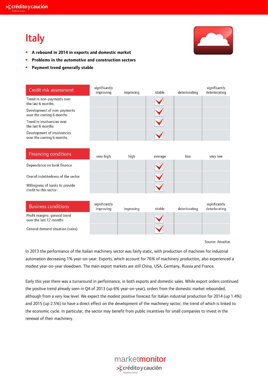## Italy



- **A rebound in 2014 in exports and domestic market**
- **Problems in the automotive and construction sectors**
- **Payment trend generally stable**

| Credit risk assessment                                   | significantly<br>improving | improving | stable  | deteriorating | significantly<br>deteriorating |
|----------------------------------------------------------|----------------------------|-----------|---------|---------------|--------------------------------|
| Trend in non-payments over<br>the last 6 months          |                            |           |         |               |                                |
| Development of non-payments<br>over the coming 6 months  |                            |           |         |               |                                |
| Trend in insolvencies over<br>the last 6 months          |                            |           |         |               |                                |
| Development of insolvencies<br>over the coming 6 months  |                            |           |         |               |                                |
|                                                          |                            |           |         |               |                                |
| <b>Financing conditions</b>                              | very high                  | high      | average | low           | very low                       |
| Dependence on bank finance                               |                            |           |         |               |                                |
| Overall indebtedness of the sector                       |                            |           |         |               |                                |
| Willingness of banks to provide<br>credit to this sector |                            |           |         |               |                                |
|                                                          |                            |           |         |               |                                |
| <b>Business conditions</b>                               | significantly<br>improving | improving | stable  | deteriorating | significantly<br>deteriorating |
| Profit margins: general trend<br>over the last 12 months |                            |           |         |               |                                |
| General demand situation (sales)                         |                            |           |         |               |                                |

Source: Atradius

In 2013 the performance of the Italian machinery sector was fairly static, with production of machines for industrial automation decreasing 1% year-on-year. Exports, which account for 76% of machinery production, also experienced a modest year-on-year slowdown. The main export markets are still China, USA, Germany, Russia and France.

Early this year there was a turnaround in performance, in both exports and domestic sales. While export orders continued the positive trend already seen in Q4 of 2013 (up 6% year-on-year), orders from the domestic market rebounded, although from a very low level. We expect the modest positive forecast for Italian industrial production for 2014 (up 1.4%) and 2015 (up 2.5%) to have a direct effect on the development of the machinery sector, the trend of which is linked to the economic cycle. In particular, the sector may benefit from public incentives for small companies to invest in the renewal of their machinery.

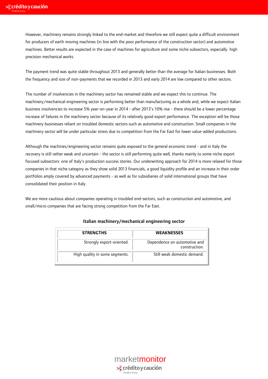However, machinery remains strongly linked to the end-market and therefore we still expect quite a difficult environment for producers of earth moving machines (in line with the poor performance of the construction sector) and automotive machines. Better results are expected in the case of machines for agriculture and some niche subsectors, especially high precision mechanical works.

The payment trend was quite stable throughout 2013 and generally better than the average for Italian businesses. Both the frequency and size of non-payments that we recorded in 2013 and early 2014 are low compared to other sectors.

The number of insolvencies in the machinery sector has remained stable and we expect this to continue. The machinery/mechanical engineering sector is performing better than manufacturing as a whole and, while we expect Italian business insolvencies to increase 5% year-on-year in 2014 - after 2013's 10% rise - there should be a lower percentage increase of failures in the machinery sector because of its relatively good export performance. The exception will be those machinery businesses reliant on troubled domestic sectors such as automotive and construction. Small companies in the machinery sector will be under particular stress due to competition from the Far East for lower value-added productions.

Although the machines/engineering sector remains quite exposed to the general economic trend - and in Italy the recovery is still rather weak and uncertain - the sector is still performing quite well, thanks mainly to some niche export focused subsectors: one of Italy's production success stories. Our underwriting approach for 2014 is more relaxed for those companies in that niche category as they show solid 2013 financials, a good liquidity profile and an increase in their order portfolios amply covered by advanced payments - as well as for subsidiaries of solid international groups that have consolidated their position in Italy.

We are more cautious about companies operating in troubled end-sectors, such as construction and automotive, and small/micro companies that are facing strong competition from the Far East.

| <b>STRENGTHS</b>               | <b>WEAKNESSES</b>                             |
|--------------------------------|-----------------------------------------------|
| Strongly export-oriented.      | Dependence on automotive and<br>construction. |
| High quality in some segments. | Still weak domestic demand.                   |

#### Italian machinery/mechanical engineering sector

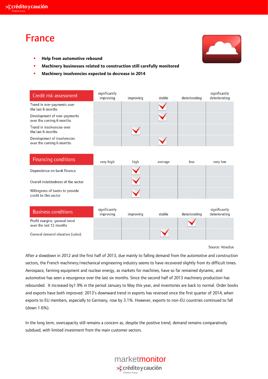

### France



- **Help from automotive rebound**
- **Machinery businesses related to construction still carefully monitored**
- **Machinery insolvencies expected to decrease in 2014**

| Credit risk assessment                                   | significantly<br>improving | improving | stable  | deteriorating | significantly<br>deteriorating |
|----------------------------------------------------------|----------------------------|-----------|---------|---------------|--------------------------------|
| Trend in non-payments over<br>the last 6 months          |                            |           |         |               |                                |
| Development of non-payments<br>over the coming 6 months  |                            |           |         |               |                                |
| Trend in insolvencies over<br>the last 6 months          |                            |           |         |               |                                |
| Development of insolvencies<br>over the coming 6 months  |                            |           |         |               |                                |
|                                                          |                            |           |         |               |                                |
| <b>Financing conditions</b>                              | very high                  | high      | average | low           | very low                       |
| Dependence on bank finance                               |                            |           |         |               |                                |
| Overall indebtedness of the sector                       |                            |           |         |               |                                |
| Willingness of banks to provide<br>credit to this sector |                            |           |         |               |                                |
|                                                          |                            |           |         |               |                                |
| <b>Business conditions</b>                               | significantly<br>improving | improving | stable  | deteriorating | significantly<br>deteriorating |
| Profit margins: general trend                            |                            |           |         |               |                                |

over the last 12 months

General demand situation (sales)

Source: Atradius

After a slowdown in 2012 and the first half of 2013, due mainly to falling demand from the automotive and construction sectors, the French machinery/mechanical engineering industry seems to have recovered slightly from its difficult times. Aerospace, farming equipment and nuclear energy, as markets for machines, have so far remained dynamic, and automotive has seen a resurgence over the last six months. Since the second half of 2013 machinery production has rebounded. It increased by1.9% in the period January to May this year, and inventories are back to normal. Order books and exports have both improved: 2013's downward trend in exports has reversed since the first quarter of 2014, when exports to EU members, especially to Germany, rose by 3.1%. However, exports to non-EU countries continued to fall (down 1.6%).

In the long term, overcapacity still remains a concern as, despite the positive trend, demand remains comparatively subdued, with limited investment from the main customer sectors.

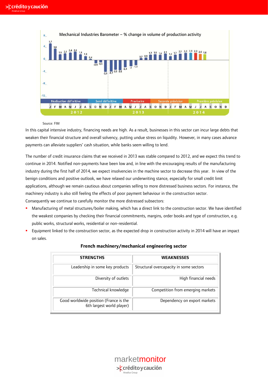

#### Source: FIM

In this capital intensive industry, financing needs are high. As a result, businesses in this sector can incur large debts that weaken their financial structure and overall solvency, putting undue stress on liquidity. However, in many cases advance payments can alleviate suppliers' cash situation, while banks seem willing to lend.

The number of credit insurance claims that we received in 2013 was stable compared to 2012, and we expect this trend to continue in 2014. Notified non-payments have been low and, in line with the encouraging results of the manufacturing industry during the first half of 2014, we expect insolvencies in the machine sector to decrease this year. In view of the benign conditions and positive outlook, we have relaxed our underwriting stance, especially for small credit limit applications, although we remain cautious about companies selling to more distressed business sectors. For instance, the machinery industry is also still feeling the effects of poor payment behaviour in the construction sector. Consequently we continue to carefully monitor the more distressed subsectors:

- Manufacturing of metal structures/boiler making, which has a direct link to the construction sector. We have identified the weakest companies by checking their financial commitments, margins, order books and type of construction, e.g. public works, structural works, residential or non-residential.
- **Equipment linked to the construction sector, as the expected drop in construction activity in 2014 will have an impact** on sales.

| <b>STRENGTHS</b>                                                    | <b>WEAKNESSES</b>                       |
|---------------------------------------------------------------------|-----------------------------------------|
| Leadership in some key products                                     | Structural overcapacity in some sectors |
| Diversity of outlets                                                | High financial needs                    |
| Technical knowledge                                                 | Competition from emerging markets       |
| Good worldwide position (France is the<br>6th largest world player) | Dependency on export markets            |

#### **French machinery/mechanical engineering sector**

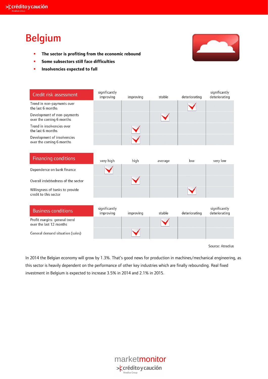### Belgium

- **The sector is profiting from the economic rebound**
- **Some subsectors still face difficulties**
- **Insolvencies expected to fall**



| Credit risk assessment                                  | significantly<br>improving | improving | stable  | deteriorating | significantly<br>deteriorating |
|---------------------------------------------------------|----------------------------|-----------|---------|---------------|--------------------------------|
| Trend in non-payments over<br>the last 6 months         |                            |           |         |               |                                |
| Development of non-payments<br>over the coming 6 months |                            |           |         |               |                                |
| Trend in insolvencies over<br>the last 6 months         |                            |           |         |               |                                |
| Development of insolvencies<br>over the coming 6 months |                            |           |         |               |                                |
|                                                         |                            |           |         |               |                                |
| <b>Financing conditions</b>                             | very high                  | high      | average | low           | very low                       |

| Dependence on bank finance                               |                            |           |        |               |                                |
|----------------------------------------------------------|----------------------------|-----------|--------|---------------|--------------------------------|
| Overall indebtedness of the sector                       |                            |           |        |               |                                |
| Willingness of banks to provide<br>credit to this sector |                            |           |        |               |                                |
|                                                          |                            |           |        |               |                                |
| <b>Business conditions</b>                               | significantly<br>improving | improving | stable | deteriorating | significantly<br>deteriorating |
|                                                          |                            |           |        |               |                                |
| Profit margins: general trend<br>over the last 12 months |                            |           |        |               |                                |

Source: Atradius

In 2014 the Belgian economy will grow by 1.3%. That's good news for production in machines/mechanical engineering, as this sector is heavily dependent on the performance of other key industries which are finally rebounding. Real fixed investment in Belgium is expected to increase 3.5% in 2014 and 2.1% in 2015.

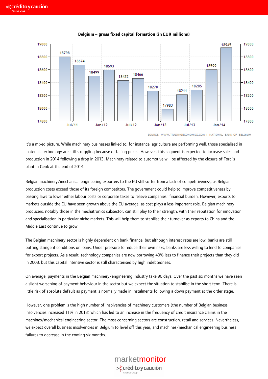

#### **Belgium – gross fixed capital formation (in EUR millions)**

SOURCE: WWW.TRADINGECONOMICS.COM | NATIONAL BANK OF BELGIUM

It's a mixed picture. While machinery businesses linked to, for instance, agriculture are performing well, those specialised in materials technology are still struggling because of falling prices. However, this segment is expected to increase sales and production in 2014 following a drop in 2013. Machinery related to automotive will be affected by the closure of Ford´s plant in Genk at the end of 2014.

Belgian machinery/mechanical engineering exporters to the EU still suffer from a lack of competitiveness, as Belgian production costs exceed those of its foreign competitors. The government could help to improve competitiveness by passing laws to lower either labour costs or corporate taxes to relieve companies´ financial burden. However, exports to markets outside the EU have seen growth above the EU average, as cost plays a less important role. Belgian machinery producers, notably those in the mechatronics subsector, can still play to their strength, with their reputation for innovation and specialisation in particular niche markets. This will help them to stabilise their turnover as exports to China and the Middle East continue to grow.

The Belgian machinery sector is highly dependent on bank finance, but although interest rates are low, banks are still putting stringent conditions on loans. Under pressure to reduce their own risks, banks are less willing to lend to companies for export projects. As a result, technology companies are now borrowing 40% less to finance their projects than they did in 2008, but this capital intensive sector is still characterised by high indebtedness.

On average, payments in the Belgian machinery/engineering industry take 90 days. Over the past six months we have seen a slight worsening of payment behaviour in the sector but we expect the situation to stabilise in the short term. There is little risk of absolute default as payment is normally made in instalments following a down payment at the order stage.

However, one problem is the high number of insolvencies of machinery customers (the number of Belgian business insolvencies increased 11% in 2013) which has led to an increase in the frequency of credit insurance claims in the machines/mechanical engineering sector. The most concerning sectors are construction, retail and services. Nevertheless, we expect overall business insolvencies in Belgium to level off this year, and machines/mechanical engineering business failures to decrease in the coming six months.

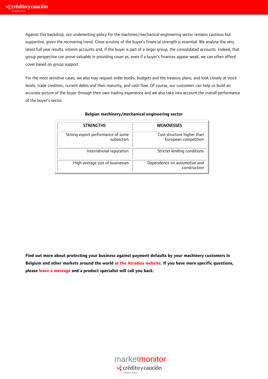Against this backdrop, our underwriting policy for the machines/mechanical engineering sector remains cautious but supportive, given the recovering trend. Close scrutiny of the buyer's financial strength is essential. We analyse the very latest full year results, interim accounts and, if the buyer is part of a larger group, the consolidated accounts. Indeed, that group perspective can prove valuable in providing cover as, even if a buyer's finances appear weak, we can often afford cover based on group support.

For the most sensitive cases, we also may request order books, budgets and the treasury plans, and look closely at stock levels, trade creditors, current debts and their maturity, and cash flow. Of course, our customers can help us build an accurate picture of the buyer through their own trading experience and we also take into account the overall performance of the buyer's sector.

| <b>STRENGTHS</b>                                | <b>WEAKNESSES</b>                                  |
|-------------------------------------------------|----------------------------------------------------|
| Strong export performance of some<br>subsectors | Cost structure higher than<br>European competition |
| International reputation                        | Stricter lending conditions                        |
| High average size of businesses                 | Dependence on automotive and<br>construction       |

#### **Belgian machinery/mechanical engineering sector**

**Find out more about protecting your business against payment defaults by your machinery customers in Belgium and other markets around the world [at the Atradius website. I](http://global.atradius.com/)f you have more specific questions, please [leave a message](http://global.atradius.com/creditmanagementknowledge/publications/contact-atradius.html) and a product specialist will call you back.** 

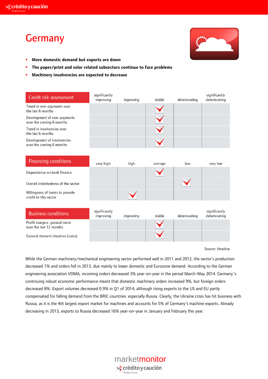### Germany



- **More domestic demand but exports are down**
- **The paper/print and solar related subsectors continue to face problems**
- **Machinery insolvencies are expected to decrease**

| Credit risk assessment                                   | significantly<br>improving | improving | stable            | deteriorating | significantly<br>deteriorating |
|----------------------------------------------------------|----------------------------|-----------|-------------------|---------------|--------------------------------|
| Trend in non-payments over<br>the last 6 months          |                            |           |                   |               |                                |
| Development of non-payments<br>over the coming 6 months  |                            |           |                   |               |                                |
| Trend in insolvencies over<br>the last 6 months          |                            |           |                   |               |                                |
| Development of insolvencies<br>over the coming 6 months  |                            |           |                   |               |                                |
|                                                          |                            |           |                   |               |                                |
| <b>Financing conditions</b>                              | very high                  | high      | average           | low           | very low                       |
| Dependence on bank finance                               |                            |           |                   |               |                                |
| Overall indebtedness of the sector                       |                            |           |                   |               |                                |
| Willingness of banks to provide<br>credit to this sector |                            |           |                   |               |                                |
|                                                          |                            |           |                   |               |                                |
| <b>Business conditions</b>                               | significantly<br>improving | improving | stable            | deteriorating | significantly<br>deteriorating |
| Profit margine: general trend                            |                            |           | $\sim$ $\sqrt{ }$ |               |                                |

Profit margins: general trend over the last 12 months

General demand situation (sales)

Source: Atradius

While the German machinery/mechanical engineering sector performed well in 2011 and 2012, the sector's production decreased 1% and orders fell in 2013, due mainly to lower domestic and Eurozone demand. According to the German engineering association VDMA, incoming orders decreased 3% year-on-year in the period March-May 2014. Germany´s continuing robust economic performance meant that domestic machinery orders increased 9%, but foreign orders decreased 8%. Export volumes decreased 0.9% in Q1 of 2014, although rising exports to the US and EU partly compensated for falling demand from the BRIC countries: especially Russia. Clearly, the Ukraine crisis has hit business with Russia, as it is the 4th largest export market for machines and accounts for 5% of Germany's machine exports. Already decreasing in 2013, exports to Russia decreased 16% year-on-year in January and February this year.

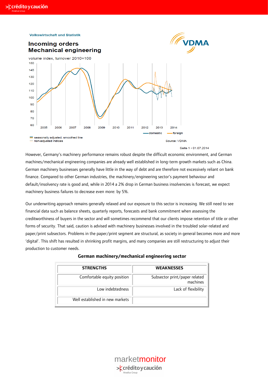



#### Seite 1 · 01.07.2014

However, Germany's machinery performance remains robust despite the difficult economic environment, and German machines/mechanical engineering companies are already well established in long-term growth markets such as China. German machinery businesses generally have little in the way of debt and are therefore not excessively reliant on bank finance. Compared to other German industries, the machinery/engineering sector's payment behaviour and default/insolvency rate is good and, while in 2014 a 2% drop in German business insolvencies is forecast, we expect machinery business failures to decrease even more: by 5%.

Our underwriting approach remains generally relaxed and our exposure to this sector is increasing. We still need to see financial data such as balance sheets, quarterly reports, forecasts and bank commitment when assessing the creditworthiness of buyers in the sector and will sometimes recommend that our clients impose retention of title or other forms of security. That said, caution is advised with machinery businesses involved in the troubled solar-related and paper/print subsectors. Problems in the paper/print segment are structural, as society in general becomes more and more 'digital'. This shift has resulted in shrinking profit margins, and many companies are still restructuring to adjust their production to customer needs.

| <b>STRENGTHS</b>                | <b>WEAKNESSES</b>                         |
|---------------------------------|-------------------------------------------|
| Comfortable equity position     | Subsector print/paper related<br>machines |
| Low indebtedness                | Lack of flexibility                       |
| Well established in new markets |                                           |

#### **German machinery/mechanical engineering sector**

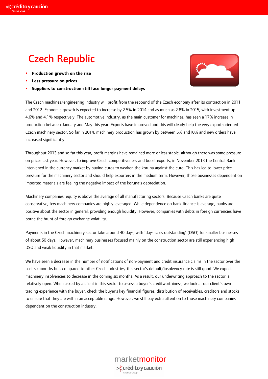### **×**crédito y caución

## Czech Republic

- **Production growth on the rise**
- **Less pressure on prices**
- **Suppliers to construction still face longer payment delays**



The Czech machines/engineering industry will profit from the rebound of the Czech economy after its contraction in 2011 and 2012. Economic growth is expected to increase by 2.5% in 2014 and as much as 2.8% in 2015, with investment up 4.6% and 4.1% respectively. The automotive industry, as the main customer for machines, has seen a 17% increase in production between January and May this year. Exports have improved and this will clearly help the very export-oriented Czech machinery sector. So far in 2014, machinery production has grown by between 5% and10% and new orders have increased significantly.

Throughout 2013 and so far this year, profit margins have remained more or less stable, although there was some pressure on prices last year. However, to improve Czech competitiveness and boost exports, in November 2013 the Central Bank intervened in the currency market by buying euros to weaken the koruna against the euro. This has led to lower price pressure for the machinery sector and should help exporters in the medium term. However, those businesses dependent on imported materials are feeling the negative impact of the koruna's depreciation.

Machinery companies' equity is above the average of all manufacturing sectors. Because Czech banks are quite conservative, few machinery companies are highly leveraged. While dependence on bank finance is average, banks are positive about the sector in general, providing enough liquidity. However, companies with debts in foreign currencies have borne the brunt of foreign exchange volatility.

Payments in the Czech machinery sector take around 40 days, with 'days sales outstanding' (DSO) for smaller businesses of about 50 days. However, machinery businesses focused mainly on the construction sector are still experiencing high DSO and weak liquidity in that market.

We have seen a decrease in the number of notifications of non-payment and credit insurance claims in the sector over the past six months but, compared to other Czech industries, this sector's default/insolvency rate is still good. We expect machinery insolvencies to decrease in the coming six months. As a result, our underwriting approach to the sector is relatively open. When asked by a client in this sector to assess a buyer's creditworthiness, we look at our client's own trading experience with the buyer, check the buyer's key financial figures, distribution of receivables, creditors and stocks to ensure that they are within an acceptable range. However, we still pay extra attention to those machinery companies dependent on the construction industry.

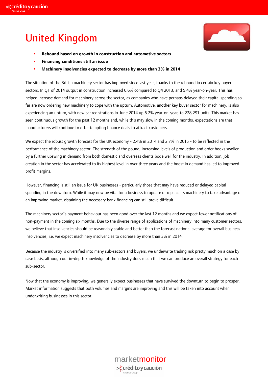## United Kingdom



- **Rebound based on growth in construction and automotive sectors**
- **Financing conditions still an issue**
- **Machinery insolvencies expected to decrease by more than 3% in 2014**

The situation of the British machinery sector has improved since last year, thanks to the rebound in certain key buyer sectors. In Q1 of 2014 output in construction increased 0.6% compared to Q4 2013, and 5.4% year-on-year. This has helped increase demand for machinery across the sector, as companies who have perhaps delayed their capital spending so far are now ordering new machinery to cope with the upturn. Automotive, another key buyer sector for machinery, is also experiencing an upturn, with new car registrations in June 2014 up 6.2% year-on-year, to 228,291 units. This market has seen continuous growth for the past 12 months and, while this may slow in the coming months, expectations are that manufacturers will continue to offer tempting finance deals to attract customers.

We expect the robust growth forecast for the UK economy - 2.4% in 2014 and 2.7% in 2015 - to be reflected in the performance of the machinery sector. The strength of the pound, increasing levels of production and order books swollen by a further upswing in demand from both domestic and overseas clients bode well for the industry. In addition, job creation in the sector has accelerated to its highest level in over three years and the boost in demand has led to improved profit margins.

However, financing is still an issue for UK businesses - particularly those that may have reduced or delayed capital spending in the downturn. While it may now be vital for a business to update or replace its machinery to take advantage of an improving market, obtaining the necessary bank financing can still prove difficult.

The machinery sector´s payment behaviour has been good over the last 12 months and we expect fewer notifications of non-payment in the coming six months. Due to the diverse range of applications of machinery into many customer sectors, we believe that insolvencies should be reasonably stable and better than the forecast national average for overall business insolvencies, i.e. we expect machinery insolvencies to decrease by more than 3% in 2014.

Because the industry is diversified into many sub-sectors and buyers, we underwrite trading risk pretty much on a case by case basis, although our in-depth knowledge of the industry does mean that we can produce an overall strategy for each sub-sector.

Now that the economy is improving, we generally expect businesses that have survived the downturn to begin to prosper. Market information suggests that both volumes and margins are improving and this will be taken into account when underwriting businesses in this sector.

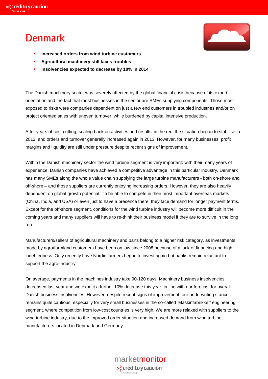### Denmark



- **Increased orders from wind turbine customers**
- **Agricultural machinery still faces troubles**
- **Insolvencies expected to decrease by 10% in 2014**

The Danish machinery sector was severely affected by the global financial crisis because of its export orientation and the fact that most businesses in the sector are SMEs supplying components. Those most exposed to risks were companies dependent on just a few end customers in troubled industries and/or on project oriented sales with uneven turnover, while burdened by capital intensive production.

After years of cost cutting, scaling back on activities and results 'in the red' the situation began to stabilise in 2012, and orders and turnover generally increased again in 2013. However, for many businesses, profit margins and liquidity are still under pressure despite recent signs of improvement.

Within the Danish machinery sector the wind turbine segment is very important: with their many years of experience, Danish companies have achieved a competitive advantage in this particular industry. Denmark has many SMEs along the whole value chain supplying the large turbine manufacturers - both on-shore and off-shore – and those suppliers are currently enjoying increasing orders. However, they are also heavily dependent on global growth potential. To be able to compete in their most important overseas markets (China, India, and USA) or even just to have a presence there, they face demand for longer payment terms. Except for the off-shore segment, conditions for the wind turbine industry will become more difficult in the coming years and many suppliers will have to re-think their business model if they are to survive in the long run.

Manufacturers/sellers of agricultural machinery and parts belong to a higher risk category, as investments made by agro/farmland customers have been on low since 2008 because of a lack of financing and high indebtedness. Only recently have Nordic farmers begun to invest again but banks remain reluctant to support the agro-industry.

On average, payments in the machines industry take 90-120 days. Machinery business insolvencies decreased last year and we expect a further 10% decrease this year, in line with our forecast for overall Danish business insolvencies. However, despite recent signs of improvement, our underwriting stance remains quite cautious, especially for very small businesses in the so-called 'Maskinfabrikker' engineering segment, where competition from low-cost countries is very high. We are more relaxed with suppliers to the wind turbine industry, due to the improved order situation and increased demand from wind turbine manufacturers located in Denmark and Germany.